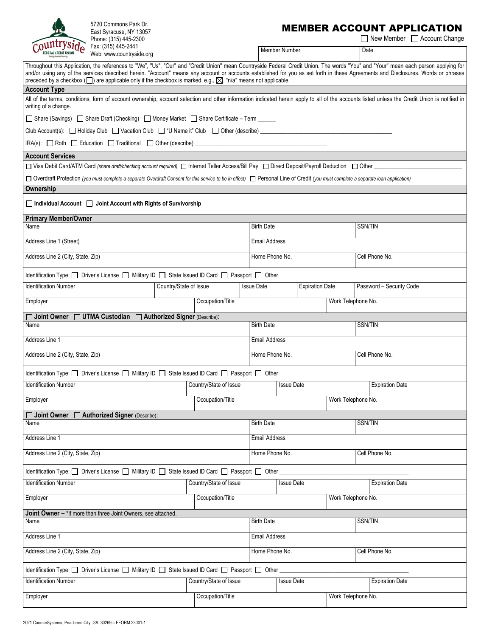|                                     | 5720 Commons Park Dr.<br>East Syracuse, NY 13057<br>Phone: (315) 445-2300                                                                                                                                                                                                                                             |                |                        |                                    |                                  |  | <b>MEMBER ACCOUNT APPLICATION</b><br>$\Box$ New Member $\Box$ Account Change |                          |  |  |
|-------------------------------------|-----------------------------------------------------------------------------------------------------------------------------------------------------------------------------------------------------------------------------------------------------------------------------------------------------------------------|----------------|------------------------|------------------------------------|----------------------------------|--|------------------------------------------------------------------------------|--------------------------|--|--|
| Fax: (315) 445-2441                 |                                                                                                                                                                                                                                                                                                                       |                |                        |                                    | Member Number                    |  |                                                                              | Date                     |  |  |
|                                     | Web: www.countryside.org<br>Throughout this Application, the references to "We", "Us", "Our" and "Credit Union" mean Countryside Federal Credit Union. The words "You" and "Your" mean each person applying for                                                                                                       |                |                        |                                    |                                  |  |                                                                              |                          |  |  |
| <b>Account Type</b>                 | and/or using any of the services described herein. "Account" means any account or accounts established for you as set forth in these Agreements and Disclosures. Words or phrases<br>preceded by a checkbox ( $\Box$ ) are applicable only if the checkbox is marked, e.g., $\boxtimes$ . "n/a" means not applicable. |                |                        |                                    |                                  |  |                                                                              |                          |  |  |
| writing of a change.                | All of the terms, conditions, form of account ownership, account selection and other information indicated herein apply to all of the accounts listed unless the Credit Union is notified in                                                                                                                          |                |                        |                                    |                                  |  |                                                                              |                          |  |  |
|                                     | □ Share (Savings) □ Share Draft (Checking) □ Money Market □ Share Certificate – Term                                                                                                                                                                                                                                  |                |                        |                                    |                                  |  |                                                                              |                          |  |  |
|                                     | Club Account(s): $\Box$ Holiday Club $\Box$ Vacation Club $\Box$ "U Name it" Club $\Box$ Other (describe)                                                                                                                                                                                                             |                |                        |                                    |                                  |  |                                                                              |                          |  |  |
|                                     | $IRA(s):$ $\Box$ Roth $\Box$ Education $\Box$ Traditional $\Box$ Other (describe) $\Box$                                                                                                                                                                                                                              |                |                        |                                    |                                  |  |                                                                              |                          |  |  |
| <b>Account Services</b>             |                                                                                                                                                                                                                                                                                                                       |                |                        |                                    |                                  |  |                                                                              |                          |  |  |
|                                     | □ Visa Debit Card/ATM Card (share draft/checking account required) □ Internet Teller Access/Bill Pay □ Direct Deposit/Payroll Deduction □ Other                                                                                                                                                                       |                |                        |                                    |                                  |  |                                                                              |                          |  |  |
| Ownership                           | □ Overdraft Protection (you must complete a separate Overdraft Consent for this service to be in effect) □ Personal Line of Credit (you must complete a separate loan application)                                                                                                                                    |                |                        |                                    |                                  |  |                                                                              |                          |  |  |
|                                     |                                                                                                                                                                                                                                                                                                                       |                |                        |                                    |                                  |  |                                                                              |                          |  |  |
|                                     | $\Box$ Individual Account $\Box$ Joint Account with Rights of Survivorship                                                                                                                                                                                                                                            |                |                        |                                    |                                  |  |                                                                              |                          |  |  |
| <b>Primary Member/Owner</b><br>Name |                                                                                                                                                                                                                                                                                                                       |                |                        |                                    |                                  |  |                                                                              | <b>SSN/TIN</b>           |  |  |
| Address Line 1 (Street)             |                                                                                                                                                                                                                                                                                                                       |                |                        | <b>Birth Date</b><br>Email Address |                                  |  |                                                                              |                          |  |  |
| Address Line 2 (City, State, Zip)   |                                                                                                                                                                                                                                                                                                                       |                |                        | Home Phone No.                     |                                  |  |                                                                              | Cell Phone No.           |  |  |
|                                     | Identification Type: $\Box$ Driver's License $\Box$ Military ID $\Box$ State Issued ID Card $\Box$ Passport $\Box$ Other                                                                                                                                                                                              |                |                        |                                    |                                  |  |                                                                              |                          |  |  |
| <b>Identification Number</b>        | Country/State of Issue                                                                                                                                                                                                                                                                                                |                |                        | <b>Issue Date</b>                  | <b>Expiration Date</b>           |  |                                                                              | Password - Security Code |  |  |
| Employer                            |                                                                                                                                                                                                                                                                                                                       |                |                        | Occupation/Title                   |                                  |  |                                                                              | Work Telephone No.       |  |  |
|                                     | □ Joint Owner □ UTMA Custodian □ Authorized Signer (Describe):                                                                                                                                                                                                                                                        |                |                        |                                    |                                  |  |                                                                              |                          |  |  |
| Name                                |                                                                                                                                                                                                                                                                                                                       |                |                        | <b>Birth Date</b>                  |                                  |  |                                                                              | SSN/TIN                  |  |  |
| Address Line 1                      |                                                                                                                                                                                                                                                                                                                       |                |                        | <b>Email Address</b>               |                                  |  |                                                                              |                          |  |  |
| Address Line 2 (City, State, Zip)   |                                                                                                                                                                                                                                                                                                                       |                |                        | Home Phone No.                     |                                  |  |                                                                              | Cell Phone No.           |  |  |
|                                     | Identification Type: □ Driver's License □ Military ID □ State Issued ID Card □ Passport □ Other                                                                                                                                                                                                                       |                |                        |                                    |                                  |  |                                                                              |                          |  |  |
| <b>Identification Number</b>        |                                                                                                                                                                                                                                                                                                                       |                | Country/State of Issue | <b>Issue Date</b>                  |                                  |  |                                                                              | <b>Expiration Date</b>   |  |  |
| Employer                            |                                                                                                                                                                                                                                                                                                                       |                | Occupation/Title       |                                    |                                  |  |                                                                              | Work Telephone No.       |  |  |
| $\Box$ Joint Owner<br>Name          | Authorized Signer (Describe):                                                                                                                                                                                                                                                                                         |                |                        | <b>Birth Date</b>                  |                                  |  |                                                                              | <b>SSN/TIN</b>           |  |  |
| Address Line 1                      |                                                                                                                                                                                                                                                                                                                       | Email Address  |                        |                                    |                                  |  |                                                                              |                          |  |  |
|                                     |                                                                                                                                                                                                                                                                                                                       | Home Phone No. |                        |                                    |                                  |  |                                                                              |                          |  |  |
| Address Line 2 (City, State, Zip)   |                                                                                                                                                                                                                                                                                                                       |                |                        |                                    |                                  |  |                                                                              | Cell Phone No.           |  |  |
|                                     | Identification Type: $\Box$ Driver's License $\Box$ Military ID $\Box$ State Issued ID Card $\Box$ Passport $\Box$ Other                                                                                                                                                                                              |                |                        |                                    |                                  |  |                                                                              |                          |  |  |
| <b>Identification Number</b>        |                                                                                                                                                                                                                                                                                                                       |                | Country/State of Issue |                                    | <b>Issue Date</b>                |  |                                                                              | <b>Expiration Date</b>   |  |  |
| Employer                            |                                                                                                                                                                                                                                                                                                                       |                | Occupation/Title       |                                    |                                  |  | Work Telephone No.                                                           |                          |  |  |
| Name                                | Joint Owner - * If more than three Joint Owners, see attached.                                                                                                                                                                                                                                                        |                |                        | <b>Birth Date</b>                  |                                  |  |                                                                              | SSN/TIN                  |  |  |
| Address Line 1                      |                                                                                                                                                                                                                                                                                                                       |                |                        | <b>Email Address</b>               |                                  |  |                                                                              |                          |  |  |
| Address Line 2 (City, State, Zip)   |                                                                                                                                                                                                                                                                                                                       |                |                        |                                    | Home Phone No.<br>Cell Phone No. |  |                                                                              |                          |  |  |
|                                     | Identification Type: □ Driver's License □ Military ID □ State Issued ID Card □ Passport □ Other                                                                                                                                                                                                                       |                |                        |                                    |                                  |  |                                                                              |                          |  |  |
| <b>Identification Number</b>        | Country/State of Issue<br><b>Issue Date</b>                                                                                                                                                                                                                                                                           |                |                        |                                    | <b>Expiration Date</b>           |  |                                                                              |                          |  |  |
| Employer                            |                                                                                                                                                                                                                                                                                                                       |                | Occupation/Title       |                                    |                                  |  |                                                                              | Work Telephone No.       |  |  |
|                                     |                                                                                                                                                                                                                                                                                                                       |                |                        |                                    |                                  |  |                                                                              |                          |  |  |

d Ь.